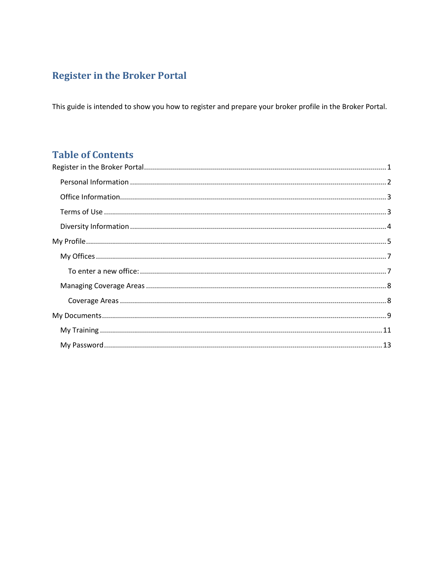# <span id="page-0-0"></span>**Register in the Broker Portal**

This guide is intended to show you how to register and prepare your broker profile in the Broker Portal.

# **Table of Contents**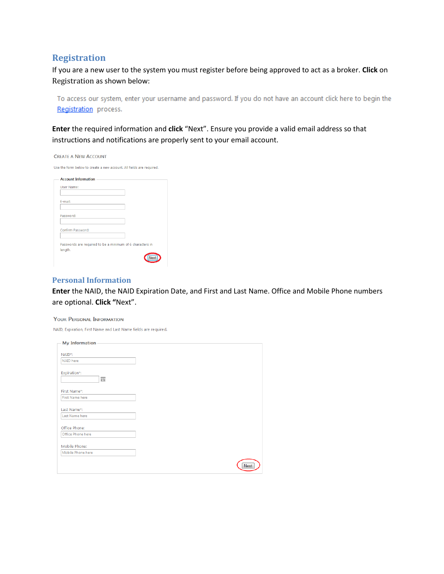# **Registration**

If you are a new user to the system you must register before being approved to act as a broker. **Click** on Registration as shown below:

To access our system, enter your username and password. If you do not have an account click here to begin the Registration process.

**Enter** the required information and **click** "Next". Ensure you provide a valid email address so that instructions and notifications are properly sent to your email account.

| <b>Account Information</b> |  |
|----------------------------|--|
| User Name:                 |  |
|                            |  |
| E-mail:                    |  |
|                            |  |
| Password:                  |  |
|                            |  |
| Confirm Password:          |  |
|                            |  |

### <span id="page-1-0"></span>**Personal Information**

**Enter** the NAID, the NAID Expiration Date, and First and Last Name. Office and Mobile Phone numbers are optional. **Click "**Next".

#### YOUR PERSONAL INFORMATION

NAID, Expiration, First Name and Last Name fields are required.

| <b>My Information</b> |             |
|-----------------------|-------------|
| NAID*:                |             |
| NAID here             |             |
| Expiration*:          |             |
| 圃                     |             |
| First Name*:          |             |
| First Name here       |             |
| Last Name*:           |             |
| Last Name here        |             |
| Office Phone:         |             |
| Office Phone here     |             |
| Mobile Phone:         |             |
| Mobile Phone here     |             |
|                       | <b>Next</b> |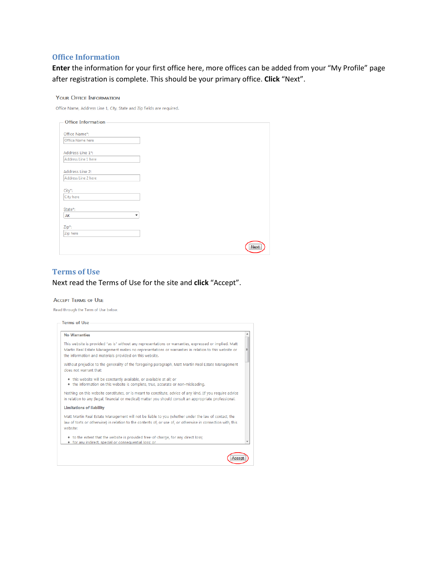## <span id="page-2-0"></span>**Office Information**

**Enter** the information for your first office here, more offices can be added from your "My Profile" page after registration is complete. This should be your primary office. **Click** "Next".

#### **YOUR OFFICE INFORMATION**

| Office Name, Address Line 1, City, State and Zip fields are required |  |  |  |  |  |  |  |  |
|----------------------------------------------------------------------|--|--|--|--|--|--|--|--|
|----------------------------------------------------------------------|--|--|--|--|--|--|--|--|

| <b>Office Information</b> |      |
|---------------------------|------|
| Office Name*:             |      |
| Office Name here          |      |
| Address Line 1*:          |      |
| Address Line 1 here       |      |
| Address Line 2:           |      |
| Address Line 2 here       |      |
| City*:                    |      |
| City here                 |      |
| State*:                   |      |
| AK<br>٠                   |      |
| Zip*:                     |      |
| Zip here                  |      |
|                           | Next |
|                           |      |

### <span id="page-2-1"></span>**Terms of Use**

# Next read the Terms of Use for the site and **click** "Accept".

#### **ACCEPT TERMS OF USE**

Read through the Term of Use below.

| <b>No Warranties</b>                                                                                                                                                                                                                                                     |
|--------------------------------------------------------------------------------------------------------------------------------------------------------------------------------------------------------------------------------------------------------------------------|
| This website is provided "as is" without any representations or warranties, expressed or implied. Matt<br>Martin Real Estate Management makes no representations or warranties in relation to this website or<br>the information and materials provided on this website. |
| Without prejudice to the generality of the foregoing paragraph. Matt Martin Real Estate Management<br>does not warrant that:                                                                                                                                             |
| . this website will be constantly available, or available at all; or<br>• the information on this website is complete, true, accurate or non-misleading.                                                                                                                 |
| Nothing on this website constitutes, or is meant to constitute, advice of any kind. [If you require advice<br>in relation to any [legal, financial or medical] matter you should consult an appropriate professional.                                                    |
| <b>Limitations of liability</b>                                                                                                                                                                                                                                          |
| Matt Martin Real Estate Management will not be liable to you (whether under the law of contact, the<br>law of torts or otherwise) in relation to the contents of, or use of, or otherwise in connection with, this<br>website:                                           |
| • to the extent that the website is provided free-of-charge, for any direct loss;<br>• for any indirect, special or consequential loss; or                                                                                                                               |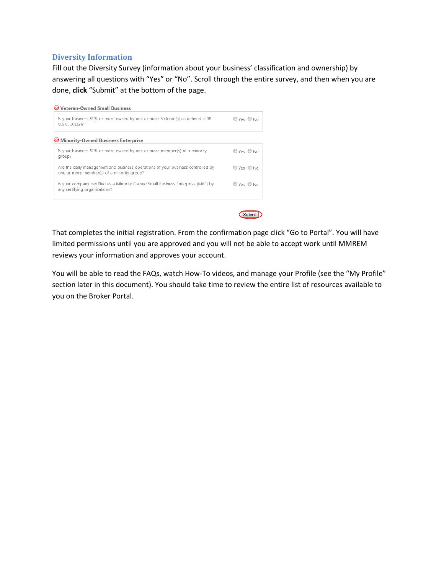## <span id="page-3-0"></span>**Diversity Information**

Fill out the Diversity Survey (information about your business' classification and ownership) by answering all questions with "Yes" or "No". Scroll through the entire survey, and then when you are done, **click** "Submit" at the bottom of the page.



Submit

That completes the initial registration. From the confirmation page click "Go to Portal". You will have limited permissions until you are approved and you will not be able to accept work until MMREM reviews your information and approves your account.

You will be able to read the FAQs, watch How-To videos, and manage your Profile (see the "My Profile" section later in this document). You should take time to review the entire list of resources available to you on the Broker Portal.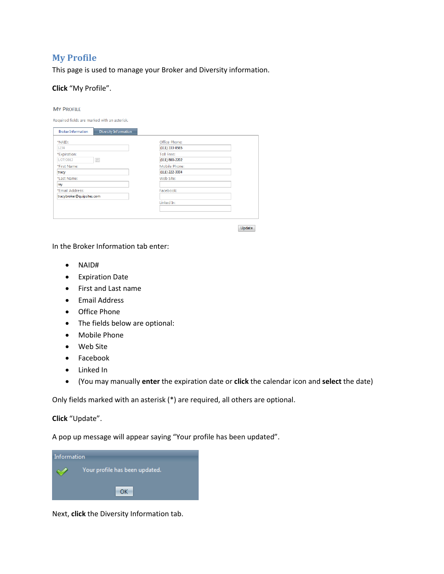# <span id="page-4-0"></span>**My Profile**

This page is used to manage your Broker and Diversity information.

## **Click** "My Profile".

#### **MY PROFILE**

Required fields are marked with an asterisk.

| <b>Broker Information</b> | Diversity Information |
|---------------------------|-----------------------|
| *NAID:                    | Office Phone:         |
| 1234                      | (111) 333-8585        |
| *Expiration:              | <b>Toll Free:</b>     |
| 画<br>1/27/2012            | $(111) 800 - 2202$    |
| *First Name:              | Mobile Phone:         |
| tracy                     | $(111)$ 222-3334      |
| *Last Name:               | Web Site:             |
| ray                       |                       |
| *Email Address:           | Facebook:             |
| tracybroker@quipsites.com |                       |
|                           | Linked In:            |
|                           |                       |
|                           |                       |

Update

In the Broker Information tab enter:

- NAID#
- Expiration Date
- First and Last name
- Email Address
- **•** Office Phone
- The fields below are optional:
- Mobile Phone
- Web Site
- Facebook
- Linked In
- (You may manually **enter** the expiration date or **click** the calendar icon and **select** the date)

Only fields marked with an asterisk (\*) are required, all others are optional.

### **Click** "Update".

A pop up message will appear saying "Your profile has been updated".



Next, **click** the Diversity Information tab.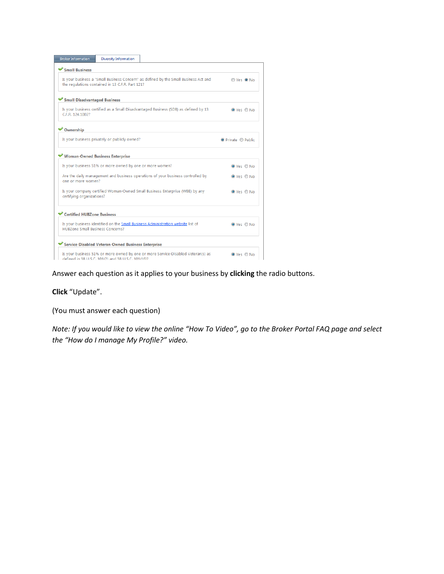| <b>Broker Information</b>               | <b>Diversity Information</b>                             |                                                                                      |                    |
|-----------------------------------------|----------------------------------------------------------|--------------------------------------------------------------------------------------|--------------------|
| Small Business                          |                                                          |                                                                                      |                    |
|                                         | the regulations contained in 13 C.F.R. Part 121?         | Is your business a "Small Business Concern" as defined by the Small Business Act and | Ves ONo            |
| Small Disadvantaged Business            |                                                          |                                                                                      |                    |
| C.F.R. 124.1002?                        |                                                          | Is your business certified as a Small Disadvantaged Business (SDB) as defined by 13  | O Yes O No         |
| <b>◆ Ownership</b>                      |                                                          |                                                                                      |                    |
|                                         | Is your business privately or publicly owned?            |                                                                                      | O Private C Public |
| Woman-Owned Business Enterprise         |                                                          |                                                                                      |                    |
|                                         | Is your business 51% or more owned by one or more women? |                                                                                      | O Yes O No         |
| one or more women?                      |                                                          | Are the daily management and business operations of your business controlled by      | O Yes O No         |
| certifying organizations?               |                                                          | Is your company certified Woman-Owned Small Business Enterprise (WBE) by any         | O Yes O No         |
| Certified HUBZone Business              |                                                          |                                                                                      |                    |
| <b>HUBZone Small Business Concerns?</b> |                                                          | Is your business identified on the Small Business Administration website list of     | O Yes O No         |
|                                         | Service-Disabled Veteran-Owned Business Enterprise       |                                                                                      |                    |
|                                         | defined in 38 U.S.C. 101(2) and 38 U.S.C. 101(16)?       | Is your business 51% or more owned by one or more Service-Disabled Veteran(s) as     | O Yes O No         |

Answer each question as it applies to your business by **clicking** the radio buttons.

# **Click** "Update".

(You must answer each question)

*Note: If you would like to view the online "How To Video", go to the Broker Portal FAQ page and select the "How do I manage My Profile?" video.*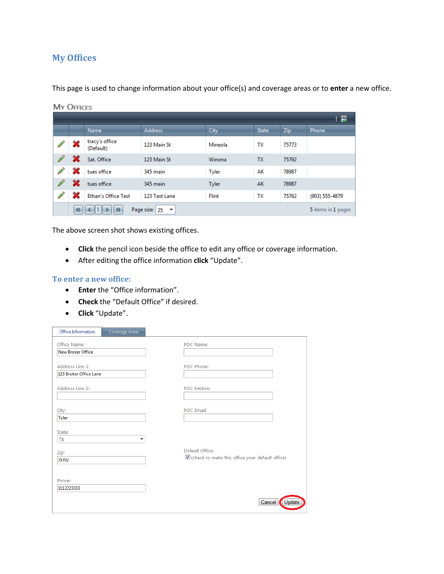# <span id="page-6-0"></span>**My Offices**

This page is used to change information about your office(s) and coverage areas or to **enter** a new office.

| <b>MY OFFICES</b> |                             |                                           |              |              |            |                    |  |
|-------------------|-----------------------------|-------------------------------------------|--------------|--------------|------------|--------------------|--|
|                   |                             |                                           |              |              |            | 團                  |  |
|                   | Name                        | <b>Address</b>                            | City         | <b>State</b> | <b>Zip</b> | <b>Phone</b>       |  |
| ×                 | tracy's office<br>(Default) | 123 Main St                               | Mineola      | TX           | 75773      |                    |  |
|                   | Sat. Office                 | 123 Main St                               | Winona       | <b>TX</b>    | 75792      |                    |  |
| X                 | tues office                 | 345 main                                  | Tyler        | AK           | 78987      |                    |  |
|                   | tues office                 | 345 main                                  | Tyler        | AK           | 78987      |                    |  |
| X                 | <b>Ethan's Office Test</b>  | 123 Test Lane                             | <b>Flint</b> | TX           | 75762      | (903) 555-4879     |  |
| κ                 | ⊁                           | Page size: 25<br>$\overline{\phantom{a}}$ |              |              |            | 5 items in 1 pages |  |

The above screen shot shows existing offices.

- **Click** the pencil icon beside the office to edit any office or coverage information.
- After editing the office information **click** "Update".

### <span id="page-6-1"></span>**To enter a new office:**

- **Enter** the "Office information".
- **Check** the "Default Office" if desired.
- **Click** "Update".

Г

**The Contract of Street** 

| Office Information       | Coverage Areas |                                                                   |        |
|--------------------------|----------------|-------------------------------------------------------------------|--------|
| Office Name:             |                | POC Name:                                                         |        |
| <b>New Broker Office</b> |                |                                                                   |        |
| Address Line 1:          |                | POC Phone:                                                        |        |
| 123 Broker Office Lane   |                |                                                                   |        |
| Address Line 2:          |                | POC Mobile:                                                       |        |
| City:<br>Tyler           |                | POC Email:                                                        |        |
| State:<br><b>TX</b>      | ▼              |                                                                   |        |
| Zip:<br>75702            |                | Default Office:<br>check to make this office your default office) |        |
| Phone:<br>1112223333     |                |                                                                   |        |
|                          |                | Cancel                                                            | Update |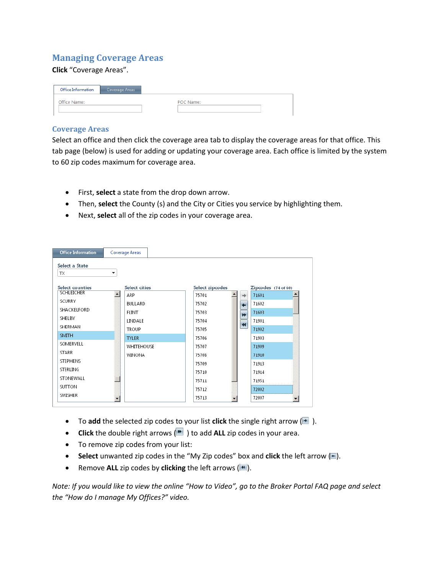# <span id="page-7-0"></span>**Managing Coverage Areas**

## **Click** "Coverage Areas".

| Office Information | Coverage Areas |           |
|--------------------|----------------|-----------|
| Office Name:       |                | POC Name: |
|                    |                |           |

## <span id="page-7-1"></span>**Coverage Areas**

Select an office and then click the coverage area tab to display the coverage areas for that office. This tab page (below) is used for adding or updating your coverage area. Each office is limited by the system to 60 zip codes maximum for coverage area.

- First, **select** a state from the drop down arrow.
- Then, **select** the County (s) and the City or Cities you service by highlighting them.
- Next, **select** all of the zip codes in your coverage area.

| <b>Office Information</b> | Coverage Areas                               |                                |                      |
|---------------------------|----------------------------------------------|--------------------------------|----------------------|
| Select a State<br>ТX      | ۰                                            |                                |                      |
| Select counties           | Select cities                                | Select zipcodes                | Zipcodes (74 of 60)  |
| <b>SCHLEICHER</b>         | $\left  \rule{0.2cm}{0.25cm} \right $<br>ARP | 75701<br>→                     | 71601                |
| <b>SCURRY</b>             | BULLARD                                      | 75702<br>$\leftarrow$          | 71602                |
| SHACKELFORD               | <b>FLINT</b>                                 | 75703<br>$\blacktriangleright$ | 71603                |
| SHELBY                    | LINDALE                                      | 75704                          | 71901                |
| SHERMAN                   | <b>TROUP</b>                                 | $\blacktriangleleft$<br>75705  | 71902                |
| <b>SMITH</b>              | <b>TYLER</b>                                 | 75706                          | 71903                |
| SOMERVELL                 | WHITEHOUSE                                   | 75707                          | 71909                |
| <b>STARR</b>              | <b>WINONA</b>                                | 75708                          | 71910                |
| <b>STEPHENS</b>           |                                              | 75709                          | 71913                |
| STERLING                  |                                              | 75710                          | 71914                |
| STONEWALL                 |                                              | 75711                          | 71951                |
| SUTTON                    |                                              | 75712                          | 72002                |
| SWISHER                   |                                              | 75713                          | 72007                |
|                           | ▼                                            | ▼                              | $\blacktriangledown$ |

- $\bullet$  To add the selected zip codes to your list **click** the single right arrow  $(\blacksquare)$ .
- **Click** the double right arrows  $(\mathbb{R})$  to add **ALL** zip codes in your area.
- To remove zip codes from your list:
- **Select** unwanted zip codes in the "My Zip codes" box and **click** the left arrow  $(\blacksquare)$ .
- **•** Remove ALL zip codes by **clicking** the left arrows  $(|\cdot|)$ .

*Note: If you would like to view the online "How to Video", go to the Broker Portal FAQ page and select the "How do I manage My Offices?" video.*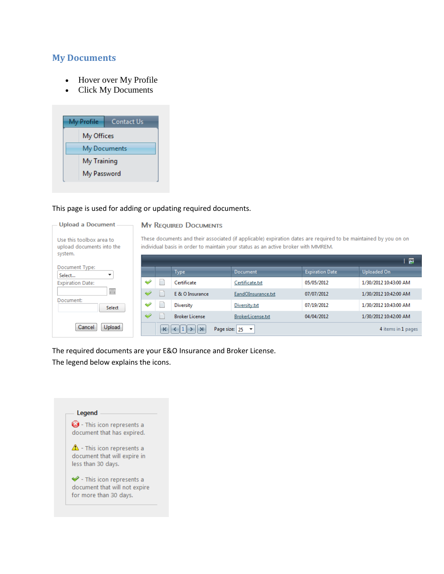# <span id="page-8-0"></span>**My Documents**

**Upload a Document** 

Use this toolbox area to

system.

Document:

Document Type: Select... **Expiration Date:** 

upload documents into the

- Hover over My Profile
- Click My Documents

| My Profile |             | Contact Us   |
|------------|-------------|--------------|
|            | My Offices  |              |
|            |             | My Documents |
|            | My Training |              |
|            | My Password |              |

### This page is used for adding or updating required documents.

## **MY REQUIRED DOCUMENTS**

These documents and their associated (if applicable) expiration dates are required to be maintained by you on on individual basis in order to maintain your status as an active broker with MMREM.

|                                       |    |   |                                       |                          |                        | 图                     |
|---------------------------------------|----|---|---------------------------------------|--------------------------|------------------------|-----------------------|
| ent Type:<br>$\overline{\phantom{a}}$ |    |   | <b>Type</b>                           | Document                 | <b>Expiration Date</b> | Uploaded On           |
| on Date:                              | ث  |   | Certificate                           | Certificate.txt          | 05/05/2012             | 1/30/2012 10:43:00 AM |
| 圃                                     | 4  |   | E & O Insurance                       | EandOInsurance.txt       | 07/07/2012             | 1/30/2012 10:42:00 AM |
| ent:<br>Select                        | ◆  |   | Diversity                             | Diversity.txt            | 07/19/2012             | 1/30/2012 10:43:00 AM |
|                                       | e4 |   | <b>Broker License</b>                 | BrokerLicense.txt        | 04/04/2012             | 1/30/2012 10:42:00 AM |
| Cancel<br>Upload                      |    | K | $\langle 1  \rangle$<br>Page size: 25 | $\overline{\phantom{a}}$ |                        | 4 items in 1 pages    |
|                                       |    |   |                                       |                          |                        |                       |

The required documents are your E&O Insurance and Broker License.

The legend below explains the icons.

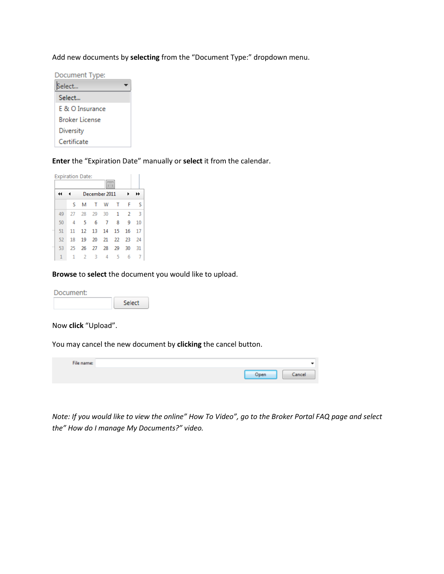Add new documents by **selecting** from the "Document Type:" dropdown menu.

| Document Type:  |  |
|-----------------|--|
| Select          |  |
| Select          |  |
| F & O Insurance |  |
| Broker License  |  |
| Diversity       |  |
| Certificate     |  |

**Enter** the "Expiration Date" manually or **select** it from the calendar.



**Browse** to **select** the document you would like to upload.

Document: Select

Now **click** "Upload".

You may cancel the new document by **clicking** the cancel button.

| File name: |      |            |
|------------|------|------------|
|            | Dpen | <b>MOR</b> |

*Note: If you would like to view the online" How To Video", go to the Broker Portal FAQ page and select the" How do I manage My Documents?" video.*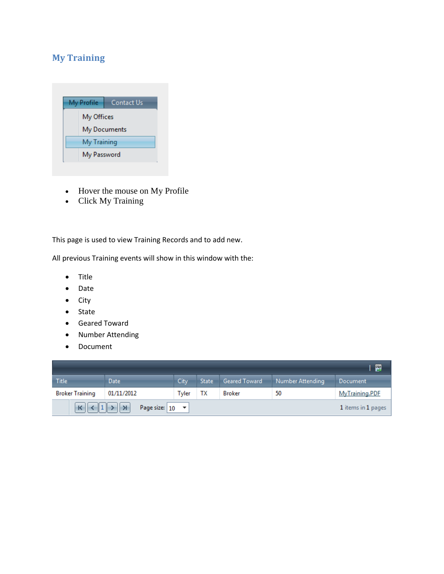# <span id="page-10-0"></span>**My Training**



- Hover the mouse on My Profile
- Click My Training

This page is used to view Training Records and to add new.

All previous Training events will show in this window with the:

- Title
- Date
- $\bullet$  City
- State
- Geared Toward
- Number Attending
- Document

|                        |                                                            |       |              |                      |                  | 圛                  |
|------------------------|------------------------------------------------------------|-------|--------------|----------------------|------------------|--------------------|
| Title                  | <b>Date</b>                                                | City  | <b>State</b> | <b>Geared Toward</b> | Number Attending | <b>Document</b>    |
| <b>Broker Training</b> | 01/11/2012                                                 | Tyler | ΤХ           | <b>Broker</b>        | 50               | MyTraining.PDF     |
| $\vert K \vert$        | $\parallel$ 1 > $\parallel$ ><br>Page size: $ 10 - \star $ |       |              |                      |                  | 1 items in 1 pages |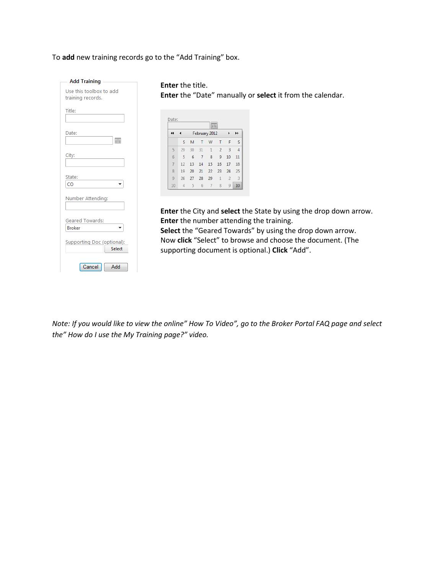To **add** new training records go to the "Add Training" box.

**Add Training** Use this toolbox to add training records. Title: Date:  $\boxed{\boxplus}$ City: State: **CO**  $\overline{\phantom{a}}$ Number Attending: **Geared Towards:** Broker  $\star$ **Supporting Doc (optional):** Select Cancel Add

**Enter** the title. **Enter** the "Date" manually or **select** it from the calendar.

|                      |    |    |    | 圜              |                |                |    |
|----------------------|----|----|----|----------------|----------------|----------------|----|
| $\blacktriangleleft$ |    |    |    | February 2012  |                | ١              | ▸  |
|                      | S  | M  | Т  | W              | т              | F              | S  |
| 5                    | 29 | 30 | 31 | 1              | $\overline{2}$ | 3              | 4  |
| 6                    | 5  | 6  | 7  | 8              | 9              | 10             | 11 |
| 7                    | 12 | 13 | 14 | 15             | 16             | 17             | 18 |
| 8                    | 19 | 20 | 21 | 22             | 23             | 24             | 25 |
| 9                    | 26 | 27 | 28 | 29             | $\mathbf{1}$   | $\overline{2}$ | 3  |
| 10                   | 4  | 5  | 6  | $\overline{7}$ | 8              | 9              | 10 |

**Enter** the City and **select** the State by using the drop down arrow. **Enter** the number attending the training.

**Select** the "Geared Towards" by using the drop down arrow. Now **click** "Select" to browse and choose the document. (The supporting document is optional.) **Click** "Add".

*Note: If you would like to view the online" How To Video", go to the Broker Portal FAQ page and select the" How do I use the My Training page?" video.*